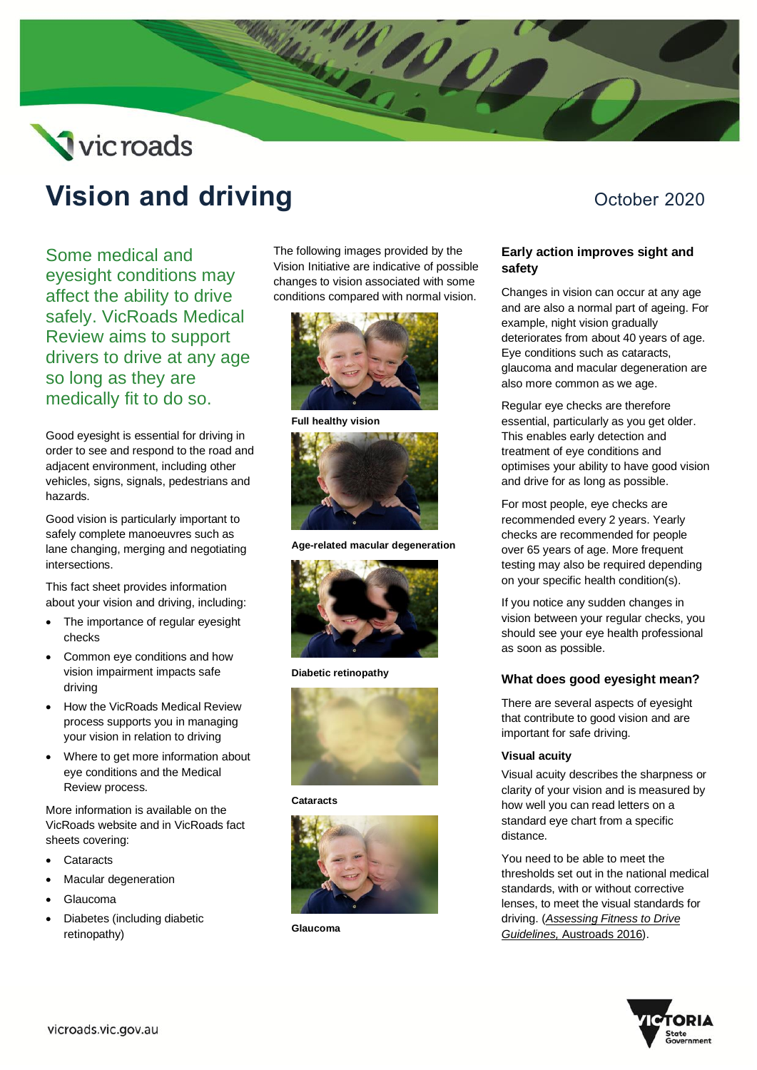# Vicroads

## **Vision and driving Constanting Constanting October 2020**

Some medical and eyesight conditions may affect the ability to drive safely. VicRoads Medical Review aims to support drivers to drive at any age so long as they are medically fit to do so.

Good eyesight is essential for driving in order to see and respond to the road and adjacent environment, including other vehicles, signs, signals, pedestrians and hazards.

Good vision is particularly important to safely complete manoeuvres such as lane changing, merging and negotiating intersections.

This fact sheet provides information about your vision and driving, including:

- The importance of regular eyesight checks
- Common eye conditions and how vision impairment impacts safe driving
- How the VicRoads Medical Review process supports you in managing your vision in relation to driving
- Where to get more information about eye conditions and the Medical Review process.

More information is available on the VicRoads website and in VicRoads fact sheets covering:

- **Cataracts**
- Macular degeneration
- Glaucoma
- Diabetes (including diabetic retinopathy)

The following images provided by the Vision Initiative are indicative of possible changes to vision associated with some conditions compared with normal vision.



**Full healthy vision**



**Age-related macular degeneration**



**Diabetic retinopathy**



**Cataracts**



**Glaucoma**

#### **Early action improves sight and safety**

Changes in vision can occur at any age and are also a normal part of ageing. For example, night vision gradually deteriorates from about 40 years of age. Eye conditions such as cataracts, glaucoma and macular degeneration are also more common as we age.

Regular eye checks are therefore essential, particularly as you get older. This enables early detection and treatment of eye conditions and optimises your ability to have good vision and drive for as long as possible.

For most people, eye checks are recommended every 2 years. Yearly checks are recommended for people over 65 years of age. More frequent testing may also be required depending on your specific health condition(s).

If you notice any sudden changes in vision between your regular checks, you should see your eye health professional as soon as possible.

#### **What does good eyesight mean?**

There are several aspects of eyesight that contribute to good vision and are important for safe driving.

#### **Visual acuity**

Visual acuity describes the sharpness or clarity of your vision and is measured by how well you can read letters on a standard eye chart from a specific distance.

You need to be able to meet the thresholds set out in the national medical standards, with or without corrective lenses, to meet the visual standards for driving. (*[Assessing Fitness to Drive](https://austroads.com.au/drivers-and-vehicles/assessing-fitness-to-drive)  [Guidelines,](https://austroads.com.au/drivers-and-vehicles/assessing-fitness-to-drive)* Austroads 2016).